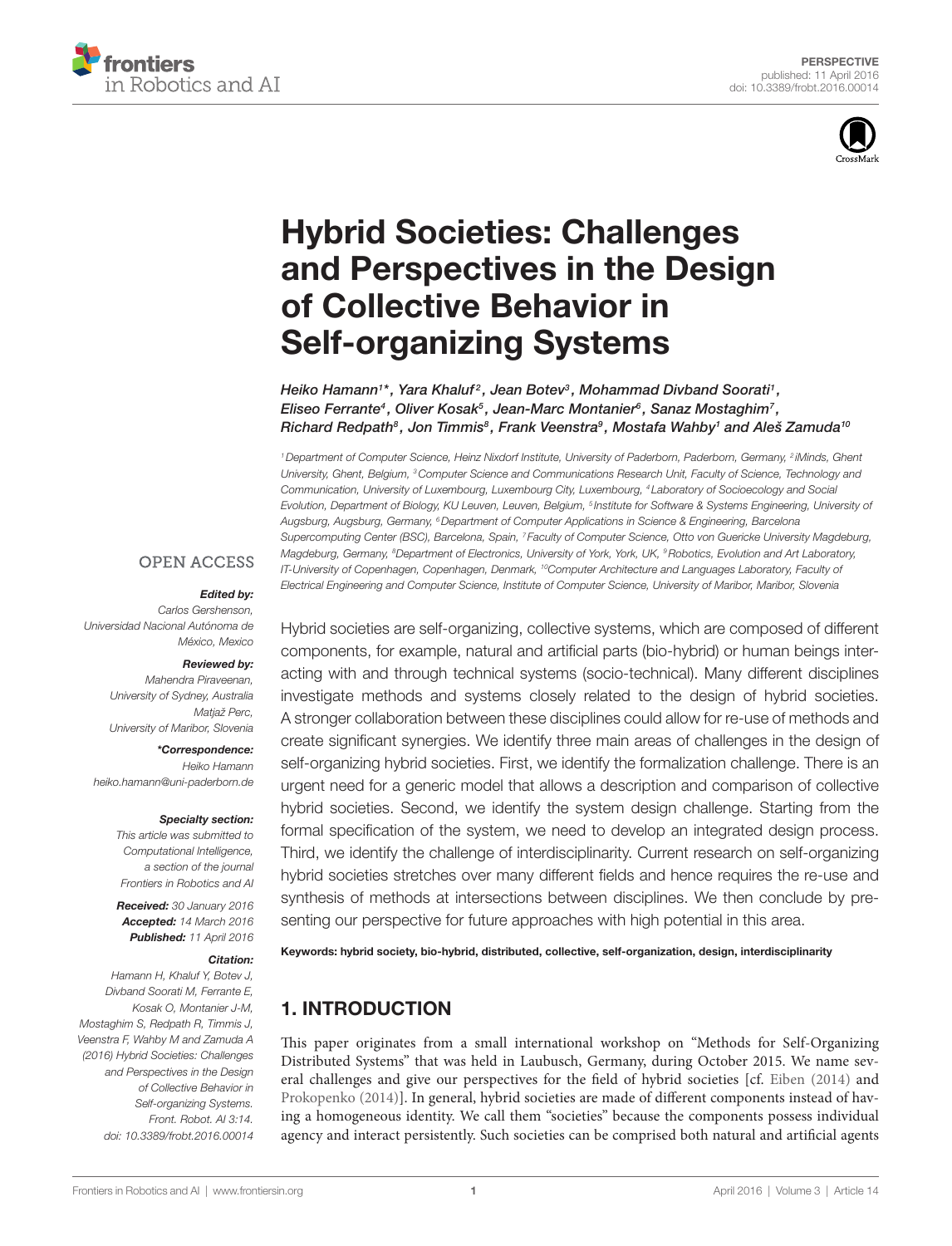



# [Hybrid societies: challenges](http://www.frontiersin.org/Journal/10.3389/frobt.2016.00014/abstract)  [and Perspectives in the Design](http://www.frontiersin.org/Journal/10.3389/frobt.2016.00014/abstract)  [of collective Behavior in](http://www.frontiersin.org/Journal/10.3389/frobt.2016.00014/abstract)  **Self-organizing Systems**

*[Heiko Hamann1](http://loop.frontiersin.org/people/152648/overview) \*, [Yara Khaluf](http://loop.frontiersin.org/people/314837/overview) <sup>2</sup> , [Jean Botev3](http://loop.frontiersin.org/people/318610/overview) , [Mohammad Divband Soorati1](http://loop.frontiersin.org/people/314418/overview) , [Eliseo Ferrante](http://loop.frontiersin.org/people/135199/overview)4 , [Oliver Kosak5](http://loop.frontiersin.org/people/338020/overview) , [Jean-Marc Montanier](http://loop.frontiersin.org/people/317395/overview)6 , [Sanaz Mostaghim](http://loop.frontiersin.org/people/336539/overview)7 , [Richard Redpath8](http://loop.frontiersin.org/people/336620/overview) , [Jon Timmis8](http://loop.frontiersin.org/people/79930/overview) , [Frank Veenstra](http://loop.frontiersin.org/people/327802/overview)9 , [Mostafa Wahby1](http://loop.frontiersin.org/people/336533/overview) and [Aleš Zamuda](http://loop.frontiersin.org/people/143306/overview)10*

*1Department of Computer Science, Heinz Nixdorf Institute, University of Paderborn, Paderborn, Germany, 2 iMinds, Ghent University, Ghent, Belgium, 3Computer Science and Communications Research Unit, Faculty of Science, Technology and Communication, University of Luxembourg, Luxembourg City, Luxembourg, 4 Laboratory of Socioecology and Social Evolution, Department of Biology, KU Leuven, Leuven, Belgium, 5 Institute for Software & Systems Engineering, University of Augsburg, Augsburg, Germany, 6Department of Computer Applications in Science & Engineering, Barcelona Supercomputing Center (BSC), Barcelona, Spain, 7 Faculty of Computer Science, Otto von Guericke University Magdeburg, Magdeburg, Germany, 8 Department of Electronics, University of York, York, UK, 9Robotics, Evolution and Art Laboratory, IT-University of Copenhagen, Copenhagen, Denmark, 10Computer Architecture and Languages Laboratory, Faculty of Electrical Engineering and Computer Science, Institute of Computer Science, University of Maribor, Maribor, Slovenia*

#### **OPEN ACCESS**

#### *Edited by:*

*Carlos Gershenson, Universidad Nacional Autónoma de México, Mexico*

#### *Reviewed by:*

*Mahendra Piraveenan, University of Sydney, Australia Matjaž Perc, University of Maribor, Slovenia*

*\*Correspondence: Heiko Hamann [heiko.hamann@uni-paderborn.de](mailto:heiko.hamann@uni-paderborn.de)*

#### *Specialty section:*

*This article was submitted to Computational Intelligence, a section of the journal Frontiers in Robotics and AI*

*Received: 30 January 2016 Accepted: 14 March 2016 Published: 11 April 2016*

#### *Citation:*

*Hamann H, Khaluf Y, Botev J, Divband Soorati M, Ferrante E, Kosak O, Montanier J-M, Mostaghim S, Redpath R, Timmis J, Veenstra F, Wahby M and Zamuda A (2016) Hybrid Societies: Challenges and Perspectives in the Design of Collective Behavior in Self-organizing Systems. Front. Robot. AI 3:14. doi: [10.3389/frobt.2016.00014](http://dx.doi.org/10.3389/frobt.2016.00014)* Hybrid societies are self-organizing, collective systems, which are composed of different components, for example, natural and artificial parts (bio-hybrid) or human beings interacting with and through technical systems (socio-technical). Many different disciplines investigate methods and systems closely related to the design of hybrid societies. A stronger collaboration between these disciplines could allow for re-use of methods and create significant synergies. We identify three main areas of challenges in the design of self-organizing hybrid societies. First, we identify the formalization challenge. There is an urgent need for a generic model that allows a description and comparison of collective hybrid societies. Second, we identify the system design challenge. Starting from the formal specification of the system, we need to develop an integrated design process. Third, we identify the challenge of interdisciplinarity. Current research on self-organizing hybrid societies stretches over many different fields and hence requires the re-use and synthesis of methods at intersections between disciplines. We then conclude by presenting our perspective for future approaches with high potential in this area.

Keywords: hybrid society, bio-hybrid, distributed, collective, self-organization, design, interdisciplinarity

# 1. INTRODUCTION

This paper originates from a small international workshop on "Methods for Self-Organizing Distributed Systems" that was held in Laubusch, Germany, during October 2015. We name several challenges and give our perspectives for the field of hybrid societies [cf. [Eiben \(2014\)](#page-6-0) and [Prokopenko \(2014\)\]](#page-7-0). In general, hybrid societies are made of different components instead of having a homogeneous identity. We call them "societies" because the components possess individual agency and interact persistently. Such societies can be comprised both natural and artificial agents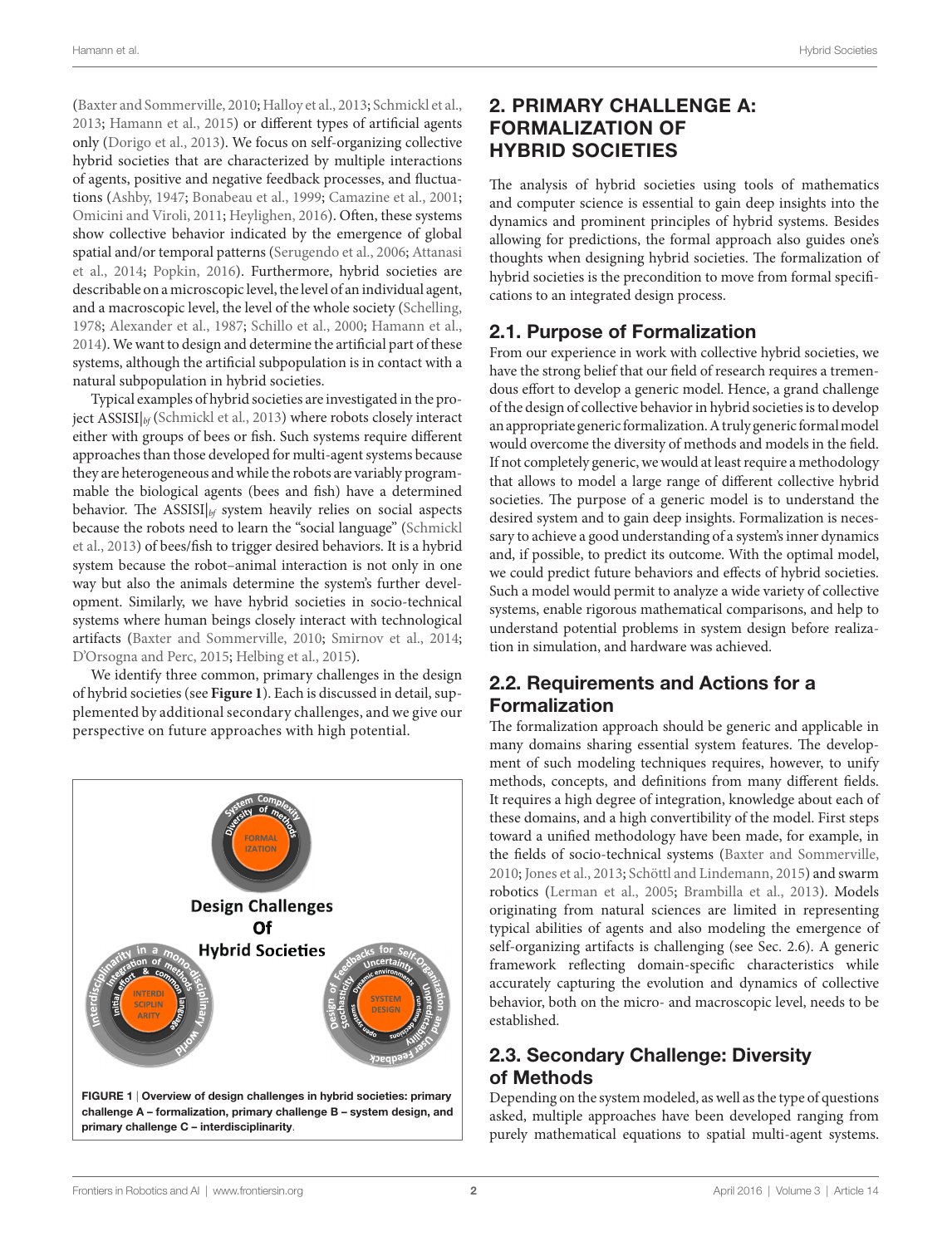([Baxter and Sommerville, 2010;](#page-5-0) [Halloy et al., 2013;](#page-6-1) [Schmickl et al.,](#page-7-1) [2013;](#page-7-1) [Hamann et al., 2015](#page-6-2)) or different types of artificial agents only ([Dorigo et al., 2013\)](#page-6-3). We focus on self-organizing collective hybrid societies that are characterized by multiple interactions of agents, positive and negative feedback processes, and fluctuations ([Ashby, 1947;](#page-5-1) [Bonabeau et al., 1999](#page-5-2); [Camazine et al., 2001;](#page-5-3) [Omicini and Viroli, 2011](#page-6-4); [Heylighen, 2016\)](#page-6-5). Often, these systems show collective behavior indicated by the emergence of global spatial and/or temporal patterns [\(Serugendo et al., 2006;](#page-7-2) [Attanasi](#page-5-4) [et al., 2014;](#page-5-4) [Popkin, 2016](#page-6-6)). Furthermore, hybrid societies are describable on a microscopic level, the level of an individual agent, and a macroscopic level, the level of the whole society [\(Schelling,](#page-7-3) [1978;](#page-7-3) [Alexander et al., 1987](#page-5-5); [Schillo et al., 2000](#page-7-4); [Hamann et al.,](#page-6-7) [2014\)](#page-6-7). We want to design and determine the artificial part of these systems, although the artificial subpopulation is in contact with a natural subpopulation in hybrid societies.

Typical examples of hybrid societies are investigated in the project ASSISI|*bf* [\(Schmickl et al., 2013](#page-7-1)) where robots closely interact either with groups of bees or fish. Such systems require different approaches than those developed for multi-agent systems because they are heterogeneous and while the robots are variably programmable the biological agents (bees and fish) have a determined behavior. The ASSISI|*bf* system heavily relies on social aspects because the robots need to learn the "social language" [\(Schmickl](#page-7-1) [et al., 2013](#page-7-1)) of bees/fish to trigger desired behaviors. It is a hybrid system because the robot–animal interaction is not only in one way but also the animals determine the system's further development. Similarly, we have hybrid societies in socio-technical systems where human beings closely interact with technological artifacts ([Baxter and Sommerville, 2010](#page-5-0); [Smirnov et al., 2014;](#page-7-5) [D'Orsogna and Perc, 2015](#page-6-8); [Helbing et al., 2015\)](#page-6-9).

We identify three common, primary challenges in the design of hybrid societies (see **[Figure 1](#page-1-0)**). Each is discussed in detail, supplemented by additional secondary challenges, and we give our perspective on future approaches with high potential.

<span id="page-1-0"></span>

# 2. PRIMARY CHALLENGE A: FORMALIZATION OF HYBRID SOCIETIES

The analysis of hybrid societies using tools of mathematics and computer science is essential to gain deep insights into the dynamics and prominent principles of hybrid systems. Besides allowing for predictions, the formal approach also guides one's thoughts when designing hybrid societies. The formalization of hybrid societies is the precondition to move from formal specifications to an integrated design process.

#### 2.1. Purpose of Formalization

From our experience in work with collective hybrid societies, we have the strong belief that our field of research requires a tremendous effort to develop a generic model. Hence, a grand challenge of the design of collective behavior in hybrid societies is to develop an appropriate generic formalization. A truly generic formal model would overcome the diversity of methods and models in the field. If not completely generic, we would at least require a methodology that allows to model a large range of different collective hybrid societies. The purpose of a generic model is to understand the desired system and to gain deep insights. Formalization is necessary to achieve a good understanding of a system's inner dynamics and, if possible, to predict its outcome. With the optimal model, we could predict future behaviors and effects of hybrid societies. Such a model would permit to analyze a wide variety of collective systems, enable rigorous mathematical comparisons, and help to understand potential problems in system design before realization in simulation, and hardware was achieved.

# 2.2. Requirements and Actions for a Formalization

The formalization approach should be generic and applicable in many domains sharing essential system features. The development of such modeling techniques requires, however, to unify methods, concepts, and definitions from many different fields. It requires a high degree of integration, knowledge about each of these domains, and a high convertibility of the model. First steps toward a unified methodology have been made, for example, in the fields of socio-technical systems [\(Baxter and Sommerville,](#page-5-0)  [2010](#page-5-0); [Jones et al., 2013;](#page-6-10) [Schöttl and Lindemann, 2015\)](#page-7-6) and swarm robotics [\(Lerman et al., 2005;](#page-6-11) [Brambilla et al., 2013\)](#page-5-6). Models originating from natural sciences are limited in representing typical abilities of agents and also modeling the emergence of self-organizing artifacts is challenging (see Sec. 2.6). A generic framework reflecting domain-specific characteristics while accurately capturing the evolution and dynamics of collective behavior, both on the micro- and macroscopic level, needs to be established.

# 2.3. Secondary Challenge: Diversity of Methods

Depending on the system modeled, as well as the type of questions asked, multiple approaches have been developed ranging from purely mathematical equations to spatial multi-agent systems.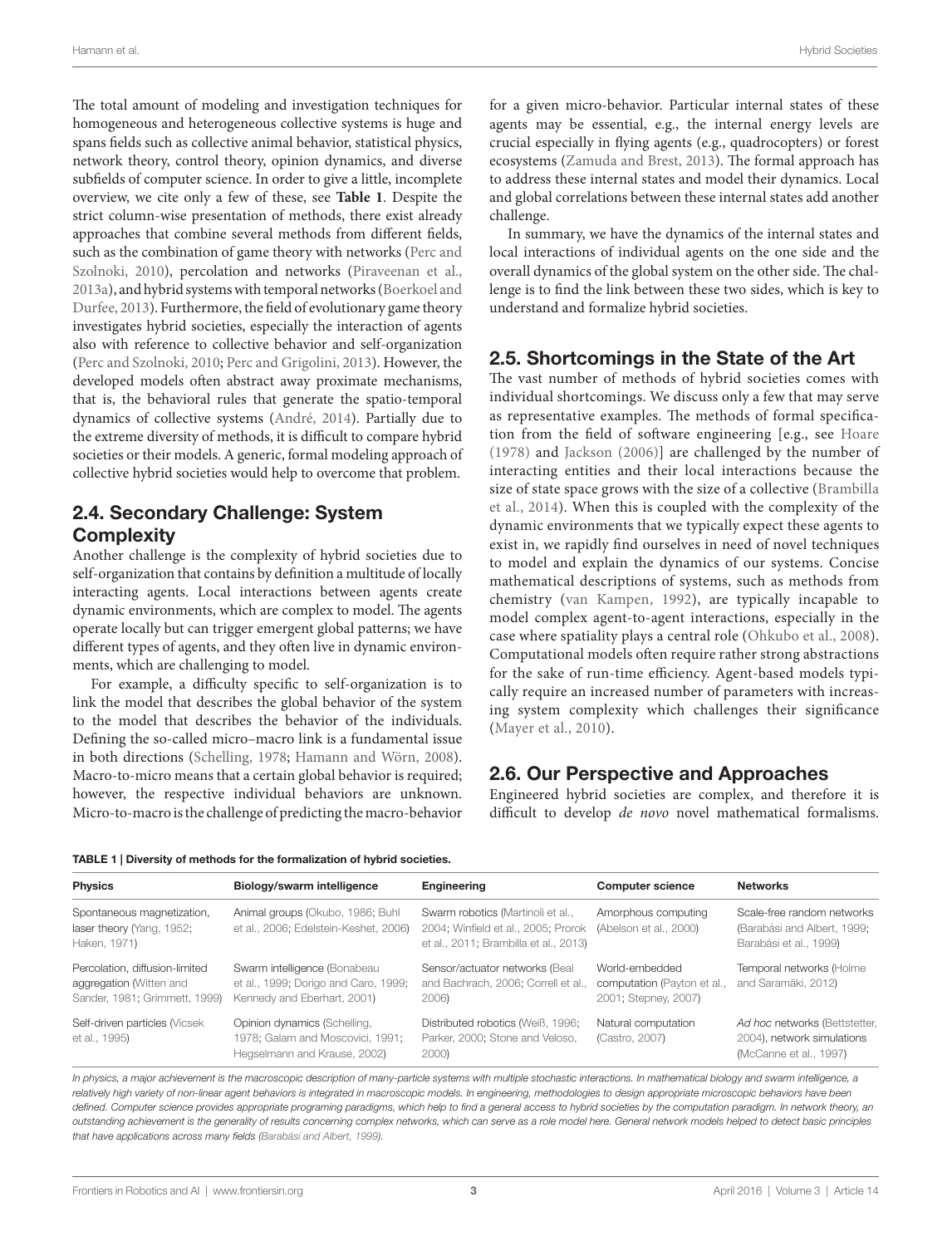The total amount of modeling and investigation techniques for homogeneous and heterogeneous collective systems is huge and spans fields such as collective animal behavior, statistical physics, network theory, control theory, opinion dynamics, and diverse subfields of computer science. In order to give a little, incomplete overview, we cite only a few of these, see **[Table 1](#page-2-0)**. Despite the strict column-wise presentation of methods, there exist already approaches that combine several methods from different fields, such as the combination of game theory with networks [\(Perc and](#page-6-26) [Szolnoki, 2010\)](#page-6-26), percolation and networks (Piraveenan et al., [2013a\)](#page-6-27), and hybrid systems with temporal networks ([Boerkoel and](#page-5-14) [Durfee, 2013](#page-5-14)). Furthermore, the field of evolutionary game theory investigates hybrid societies, especially the interaction of agents also with reference to collective behavior and self-organization ([Perc and Szolnoki, 2010;](#page-6-26) [Perc and Grigolini, 2013\)](#page-6-28). However, the developed models often abstract away proximate mechanisms, that is, the behavioral rules that generate the spatio-temporal dynamics of collective systems ([André, 2014\)](#page-5-15). Partially due to the extreme diversity of methods, it is difficult to compare hybrid societies or their models. A generic, formal modeling approach of collective hybrid societies would help to overcome that problem.

# 2.4. Secondary Challenge: System **Complexity**

Another challenge is the complexity of hybrid societies due to self-organization that contains by definition a multitude of locally interacting agents. Local interactions between agents create dynamic environments, which are complex to model. The agents operate locally but can trigger emergent global patterns; we have different types of agents, and they often live in dynamic environments, which are challenging to model.

For example, a difficulty specific to self-organization is to link the model that describes the global behavior of the system to the model that describes the behavior of the individuals. Defining the so-called micro–macro link is a fundamental issue in both directions [\(Schelling, 1978](#page-7-3); [Hamann and Wörn, 2008\)](#page-6-29). Macro-to-micro means that a certain global behavior is required; however, the respective individual behaviors are unknown. Micro-to-macro is the challenge of predicting the macro-behavior

for a given micro-behavior. Particular internal states of these agents may be essential, e.g., the internal energy levels are crucial especially in flying agents (e.g., quadrocopters) or forest ecosystems [\(Zamuda and Brest, 2013](#page-7-15)). The formal approach has to address these internal states and model their dynamics. Local and global correlations between these internal states add another challenge.

In summary, we have the dynamics of the internal states and local interactions of individual agents on the one side and the overall dynamics of the global system on the other side. The challenge is to find the link between these two sides, which is key to understand and formalize hybrid societies.

#### 2.5. Shortcomings in the State of the Art

The vast number of methods of hybrid societies comes with individual shortcomings. We discuss only a few that may serve as representative examples. The methods of formal specification from the field of software engineering [e.g., see [Hoare](#page-6-30)  [\(1978\)](#page-6-30) and [Jackson \(2006\)](#page-6-31)] are challenged by the number of interacting entities and their local interactions because the size of state space grows with the size of a collective ([Brambilla](#page-5-16)  [et al., 2014](#page-5-16)). When this is coupled with the complexity of the dynamic environments that we typically expect these agents to exist in, we rapidly find ourselves in need of novel techniques to model and explain the dynamics of our systems. Concise mathematical descriptions of systems, such as methods from chemistry ([van Kampen, 1992\)](#page-7-16), are typically incapable to model complex agent-to-agent interactions, especially in the case where spatiality plays a central role ([Ohkubo et al., 2008](#page-6-32)). Computational models often require rather strong abstractions for the sake of run-time efficiency. Agent-based models typically require an increased number of parameters with increasing system complexity which challenges their significance ([Mayer et al., 2010\)](#page-6-33).

#### 2.6. Our Perspective and Approaches

Engineered hybrid societies are complex, and therefore it is difficult to develop *de novo* novel mathematical formalisms.

<span id="page-2-0"></span>

|  |  |  |  | TABLE 1   Diversity of methods for the formalization of hybrid societies. |  |  |
|--|--|--|--|---------------------------------------------------------------------------|--|--|
|--|--|--|--|---------------------------------------------------------------------------|--|--|

| <b>Physics</b>                                                                             | Biology/swarm intelligence                                                                          | Engineering                                                                                                       | <b>Computer science</b>                                               | <b>Networks</b>                                                                       |
|--------------------------------------------------------------------------------------------|-----------------------------------------------------------------------------------------------------|-------------------------------------------------------------------------------------------------------------------|-----------------------------------------------------------------------|---------------------------------------------------------------------------------------|
| Spontaneous magnetization,<br>laser theory (Yang, 1952;<br>Haken, 1971)                    | Animal groups (Okubo, 1986; Buhl<br>et al., 2006; Edelstein-Keshet, 2006)                           | Swarm robotics (Martinoli et al.,<br>2004; Winfield et al., 2005; Prorok<br>et al., 2011; Brambilla et al., 2013) | Amorphous computing<br>(Abelson et al., 2000)                         | Scale-free random networks<br>(Barabási and Albert, 1999;<br>Barabási et al., 1999)   |
| Percolation, diffusion-limited<br>aggregation (Witten and<br>Sander, 1981; Grimmett, 1999) | Swarm intelligence (Bonabeau<br>et al., 1999; Dorigo and Caro, 1999;<br>Kennedy and Eberhart, 2001) | Sensor/actuator networks (Beal<br>and Bachrach, 2006; Correll et al.,<br>2006)                                    | World-embedded<br>computation (Payton et al.,<br>2001; Stepney, 2007) | Temporal networks (Holme<br>and Saramäki, 2012)                                       |
| Self-driven particles (Vicsek<br>et al., 1995)                                             | Opinion dynamics (Schelling,<br>1978; Galam and Moscovici, 1991;<br>Hegselmann and Krause, 2002)    | Distributed robotics (Weiß, 1996;<br>Parker, 2000; Stone and Veloso,<br>2000)                                     | Natural computation<br>(Castro, 2007)                                 | Ad hoc networks (Bettstetter,<br>2004), network simulations<br>(McCanne et al., 1997) |

In physics, a major achievement is the macroscopic description of many-particle systems with multiple stochastic interactions. In mathematical biology and swarm intelligence, a relatively high variety of non-linear agent behaviors is integrated in macroscopic models. In engineering, methodologies to design appropriate microscopic behaviors have been defined. Computer science provides appropriate programing paradigms, which help to find a general access to hybrid societies by the computation paradigm. In network theory, an *outstanding achievement is the generality of results concerning complex networks, which can serve as a role model here. General network models helped to detect basic principles that have applications across many fields [\(Barabási and Albert, 1999\)](#page-5-9).*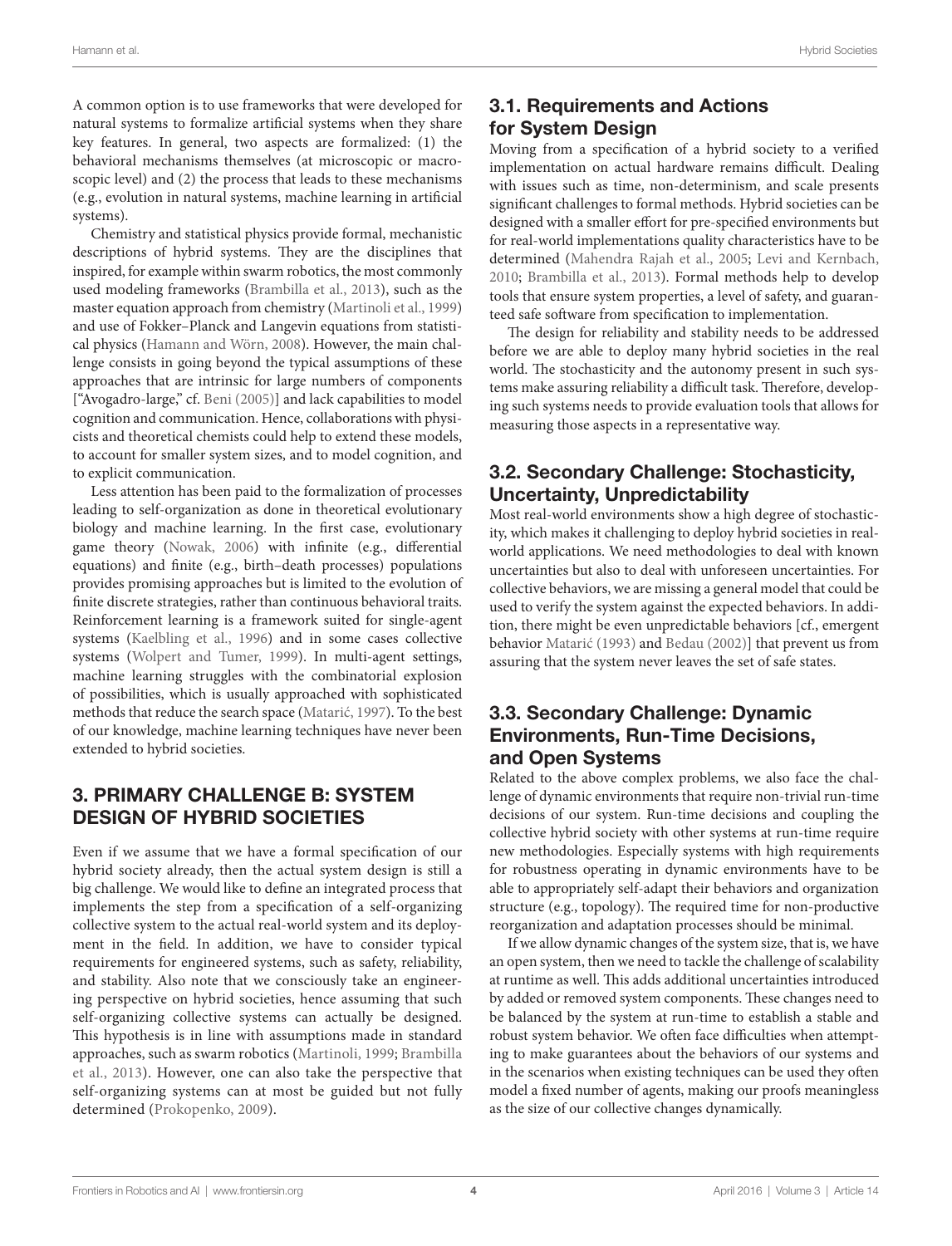A common option is to use frameworks that were developed for natural systems to formalize artificial systems when they share key features. In general, two aspects are formalized: (1) the behavioral mechanisms themselves (at microscopic or macroscopic level) and (2) the process that leads to these mechanisms (e.g., evolution in natural systems, machine learning in artificial systems).

Chemistry and statistical physics provide formal, mechanistic descriptions of hybrid systems. They are the disciplines that inspired, for example within swarm robotics, the most commonly used modeling frameworks [\(Brambilla et al., 2013](#page-5-6)), such as the master equation approach from chemistry [\(Martinoli et al., 1999\)](#page-6-24) and use of Fokker–Planck and Langevin equations from statistical physics ([Hamann and Wörn, 2008](#page-6-29)). However, the main challenge consists in going beyond the typical assumptions of these approaches that are intrinsic for large numbers of components ["Avogadro-large," cf. [Beni \(2005\)\]](#page-5-17) and lack capabilities to model cognition and communication. Hence, collaborations with physicists and theoretical chemists could help to extend these models, to account for smaller system sizes, and to model cognition, and to explicit communication.

Less attention has been paid to the formalization of processes leading to self-organization as done in theoretical evolutionary biology and machine learning. In the first case, evolutionary game theory ([Nowak, 2006\)](#page-6-34) with infinite (e.g., differential equations) and finite (e.g., birth–death processes) populations provides promising approaches but is limited to the evolution of finite discrete strategies, rather than continuous behavioral traits. Reinforcement learning is a framework suited for single-agent systems [\(Kaelbling et al., 1996](#page-6-35)) and in some cases collective systems ([Wolpert and Tumer, 1999](#page-7-17)). In multi-agent settings, machine learning struggles with the combinatorial explosion of possibilities, which is usually approached with sophisticated methods that reduce the search space ([Matarić, 1997](#page-6-36)). To the best of our knowledge, machine learning techniques have never been extended to hybrid societies.

#### 3. PRIMARY CHALLENGE B: SYSTEM DESIGN OF HYBRID SOCIETIES

Even if we assume that we have a formal specification of our hybrid society already, then the actual system design is still a big challenge. We would like to define an integrated process that implements the step from a specification of a self-organizing collective system to the actual real-world system and its deployment in the field. In addition, we have to consider typical requirements for engineered systems, such as safety, reliability, and stability. Also note that we consciously take an engineering perspective on hybrid societies, hence assuming that such self-organizing collective systems can actually be designed. This hypothesis is in line with assumptions made in standard approaches, such as swarm robotics [\(Martinoli, 1999;](#page-6-37) [Brambilla](#page-5-6) [et al., 2013](#page-5-6)). However, one can also take the perspective that self-organizing systems can at most be guided but not fully determined [\(Prokopenko, 2009\)](#page-6-38).

# 3.1. Requirements and Actions for System Design

Moving from a specification of a hybrid society to a verified implementation on actual hardware remains difficult. Dealing with issues such as time, non-determinism, and scale presents significant challenges to formal methods. Hybrid societies can be designed with a smaller effort for pre-specified environments but for real-world implementations quality characteristics have to be determined ([Mahendra Rajah et al., 2005;](#page-6-39) [Levi and Kernbach,](#page-6-40)  [2010](#page-6-40); [Brambilla et al., 2013](#page-5-6)). Formal methods help to develop tools that ensure system properties, a level of safety, and guaranteed safe software from specification to implementation.

The design for reliability and stability needs to be addressed before we are able to deploy many hybrid societies in the real world. The stochasticity and the autonomy present in such systems make assuring reliability a difficult task. Therefore, developing such systems needs to provide evaluation tools that allows for measuring those aspects in a representative way.

# 3.2. Secondary Challenge: Stochasticity, Uncertainty, Unpredictability

Most real-world environments show a high degree of stochasticity, which makes it challenging to deploy hybrid societies in realworld applications. We need methodologies to deal with known uncertainties but also to deal with unforeseen uncertainties. For collective behaviors, we are missing a general model that could be used to verify the system against the expected behaviors. In addition, there might be even unpredictable behaviors [cf., emergent behavior [Matarić \(1993\)](#page-6-41) and [Bedau \(2002\)](#page-5-18)] that prevent us from assuring that the system never leaves the set of safe states.

### 3.3. Secondary Challenge: Dynamic Environments, Run-Time Decisions, and Open Systems

Related to the above complex problems, we also face the challenge of dynamic environments that require non-trivial run-time decisions of our system. Run-time decisions and coupling the collective hybrid society with other systems at run-time require new methodologies. Especially systems with high requirements for robustness operating in dynamic environments have to be able to appropriately self-adapt their behaviors and organization structure (e.g., topology). The required time for non-productive reorganization and adaptation processes should be minimal.

If we allow dynamic changes of the system size, that is, we have an open system, then we need to tackle the challenge of scalability at runtime as well. This adds additional uncertainties introduced by added or removed system components. These changes need to be balanced by the system at run-time to establish a stable and robust system behavior. We often face difficulties when attempting to make guarantees about the behaviors of our systems and in the scenarios when existing techniques can be used they often model a fixed number of agents, making our proofs meaningless as the size of our collective changes dynamically.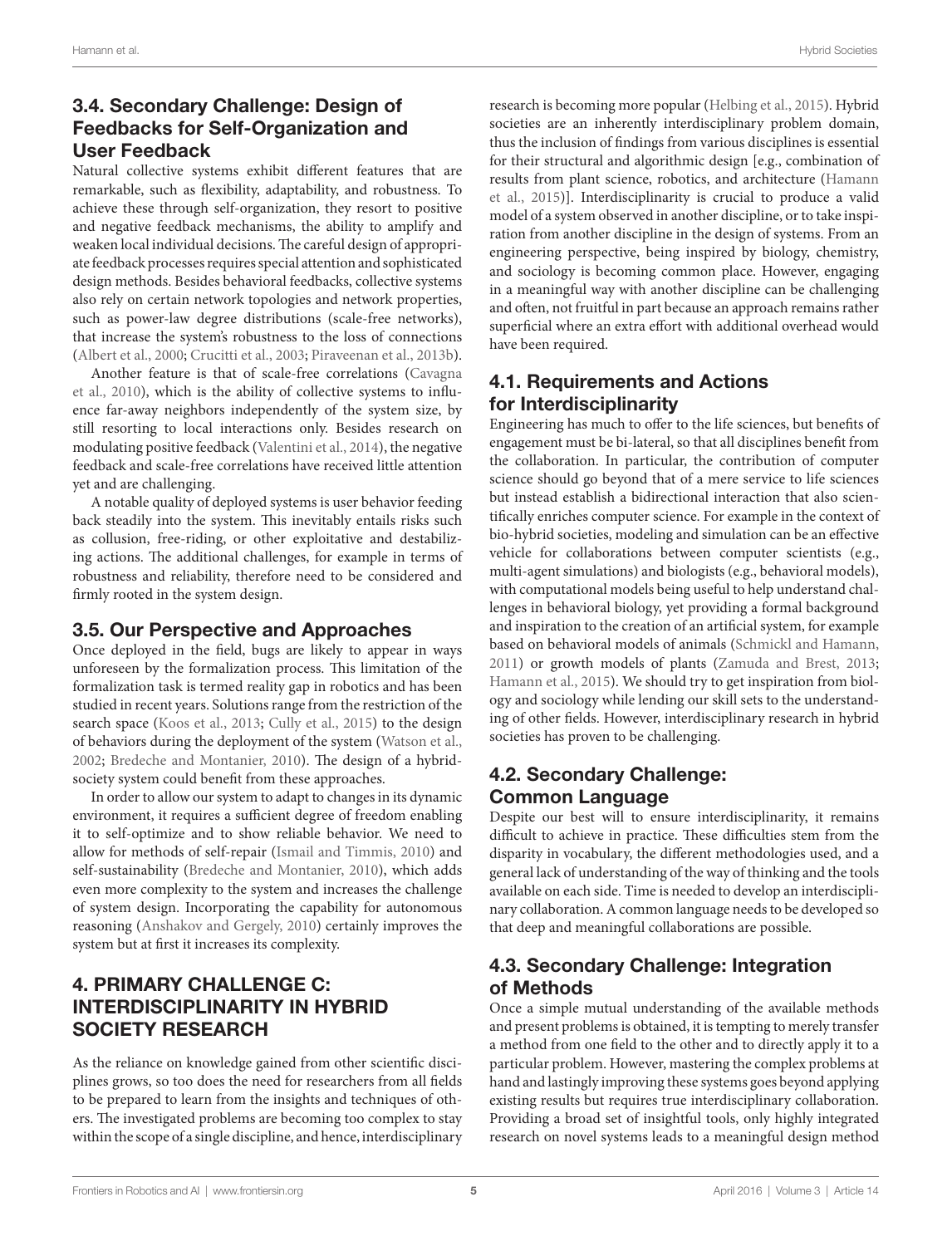# 3.4. Secondary Challenge: Design of Feedbacks for Self-Organization and User Feedback

Natural collective systems exhibit different features that are remarkable, such as flexibility, adaptability, and robustness. To achieve these through self-organization, they resort to positive and negative feedback mechanisms, the ability to amplify and weaken local individual decisions. The careful design of appropriate feedback processes requires special attention and sophisticated design methods. Besides behavioral feedbacks, collective systems also rely on certain network topologies and network properties, such as power-law degree distributions (scale-free networks), that increase the system's robustness to the loss of connections ([Albert et al., 2000;](#page-5-19) [Crucitti et al., 2003;](#page-6-42) [Piraveenan et al., 2013b\)](#page-6-43).

Another feature is that of scale-free correlations [\(Cavagna](#page-5-20) [et al., 2010\)](#page-5-20), which is the ability of collective systems to influence far-away neighbors independently of the system size, by still resorting to local interactions only. Besides research on modulating positive feedback [\(Valentini et al., 2014\)](#page-7-18), the negative feedback and scale-free correlations have received little attention yet and are challenging.

A notable quality of deployed systems is user behavior feeding back steadily into the system. This inevitably entails risks such as collusion, free-riding, or other exploitative and destabilizing actions. The additional challenges, for example in terms of robustness and reliability, therefore need to be considered and firmly rooted in the system design.

### 3.5. Our Perspective and Approaches

Once deployed in the field, bugs are likely to appear in ways unforeseen by the formalization process. This limitation of the formalization task is termed reality gap in robotics and has been studied in recent years. Solutions range from the restriction of the search space [\(Koos et al., 2013](#page-6-44); [Cully et al., 2015\)](#page-6-45) to the design of behaviors during the deployment of the system [\(Watson et al.,](#page-7-19) [2002;](#page-7-19) [Bredeche and Montanier, 2010](#page-5-21)). The design of a hybridsociety system could benefit from these approaches.

In order to allow our system to adapt to changes in its dynamic environment, it requires a sufficient degree of freedom enabling it to self-optimize and to show reliable behavior. We need to allow for methods of self-repair ([Ismail and Timmis, 2010\)](#page-6-46) and self-sustainability [\(Bredeche and Montanier, 2010\)](#page-5-21), which adds even more complexity to the system and increases the challenge of system design. Incorporating the capability for autonomous reasoning [\(Anshakov and Gergely, 2010\)](#page-5-22) certainly improves the system but at first it increases its complexity.

# 4. PRIMARY CHALLENGE C: INTERDISCIPLINARITY IN HYBRID SOCIETY RESEARCH

As the reliance on knowledge gained from other scientific disciplines grows, so too does the need for researchers from all fields to be prepared to learn from the insights and techniques of others. The investigated problems are becoming too complex to stay within the scope of a single discipline, and hence, interdisciplinary research is becoming more popular ([Helbing et al., 2015](#page-6-9)). Hybrid societies are an inherently interdisciplinary problem domain, thus the inclusion of findings from various disciplines is essential for their structural and algorithmic design [e.g., combination of results from plant science, robotics, and architecture ([Hamann](#page-6-2)  [et al., 2015](#page-6-2))]. Interdisciplinarity is crucial to produce a valid model of a system observed in another discipline, or to take inspiration from another discipline in the design of systems. From an engineering perspective, being inspired by biology, chemistry, and sociology is becoming common place. However, engaging in a meaningful way with another discipline can be challenging and often, not fruitful in part because an approach remains rather superficial where an extra effort with additional overhead would have been required.

# 4.1. Requirements and Actions for Interdisciplinarity

Engineering has much to offer to the life sciences, but benefits of engagement must be bi-lateral, so that all disciplines benefit from the collaboration. In particular, the contribution of computer science should go beyond that of a mere service to life sciences but instead establish a bidirectional interaction that also scientifically enriches computer science. For example in the context of bio-hybrid societies, modeling and simulation can be an effective vehicle for collaborations between computer scientists (e.g., multi-agent simulations) and biologists (e.g., behavioral models), with computational models being useful to help understand challenges in behavioral biology, yet providing a formal background and inspiration to the creation of an artificial system, for example based on behavioral models of animals [\(Schmickl and Hamann,](#page-7-20)  [2011](#page-7-20)) or growth models of plants [\(Zamuda and Brest, 2013;](#page-7-15) [Hamann et al., 2015\)](#page-6-2). We should try to get inspiration from biology and sociology while lending our skill sets to the understanding of other fields. However, interdisciplinary research in hybrid societies has proven to be challenging.

# 4.2. Secondary Challenge: Common Language

Despite our best will to ensure interdisciplinarity, it remains difficult to achieve in practice. These difficulties stem from the disparity in vocabulary, the different methodologies used, and a general lack of understanding of the way of thinking and the tools available on each side. Time is needed to develop an interdisciplinary collaboration. A common language needs to be developed so that deep and meaningful collaborations are possible.

# 4.3. Secondary Challenge: Integration of Methods

Once a simple mutual understanding of the available methods and present problems is obtained, it is tempting to merely transfer a method from one field to the other and to directly apply it to a particular problem. However, mastering the complex problems at hand and lastingly improving these systems goes beyond applying existing results but requires true interdisciplinary collaboration. Providing a broad set of insightful tools, only highly integrated research on novel systems leads to a meaningful design method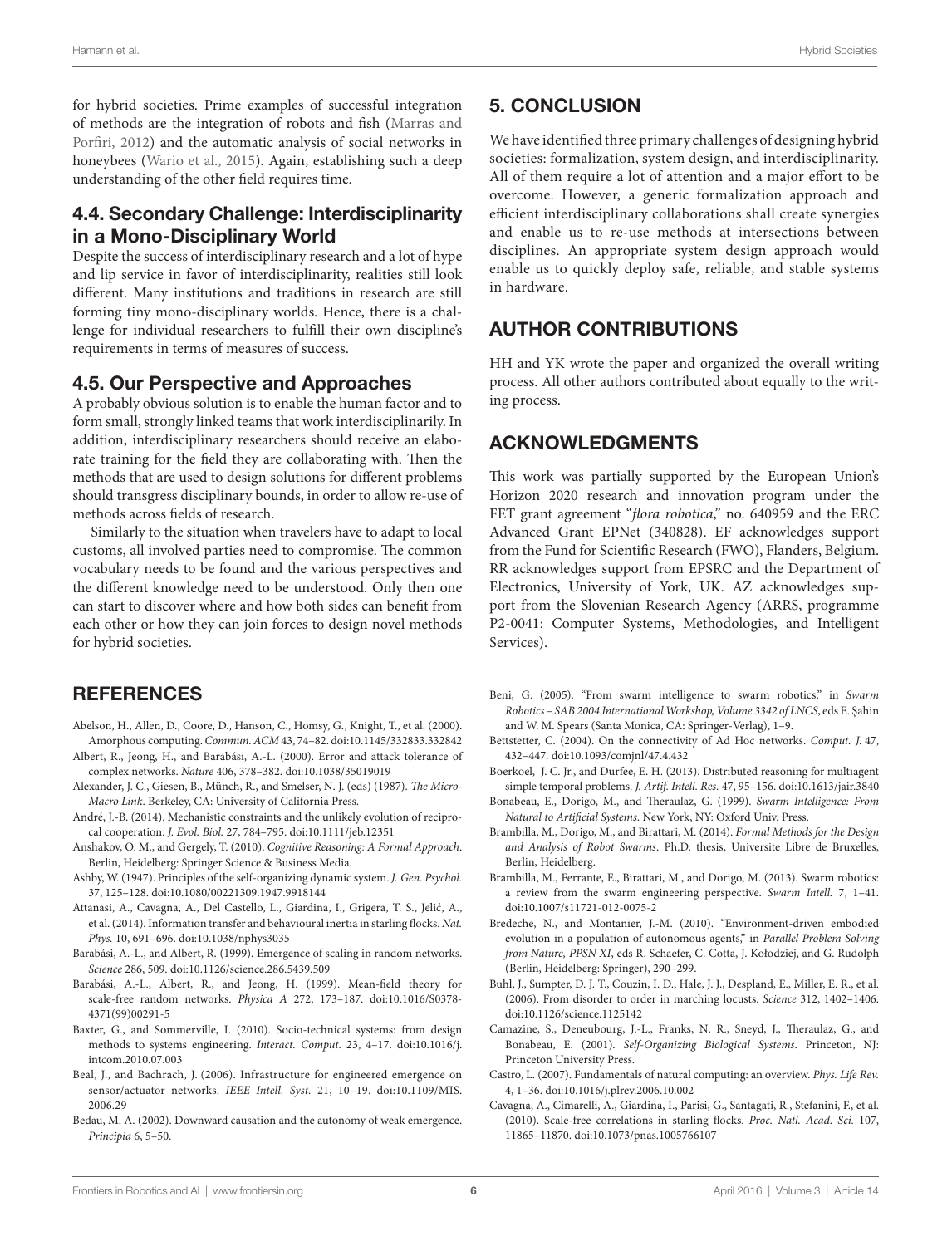for hybrid societies. Prime examples of successful integration of methods are the integration of robots and fish [\(Marras and](#page-6-47) [Porfiri, 2012\)](#page-6-47) and the automatic analysis of social networks in honeybees ([Wario et al., 2015\)](#page-7-21). Again, establishing such a deep understanding of the other field requires time.

### 4.4. Secondary Challenge: Interdisciplinarity in a Mono-Disciplinary World

Despite the success of interdisciplinary research and a lot of hype and lip service in favor of interdisciplinarity, realities still look different. Many institutions and traditions in research are still forming tiny mono-disciplinary worlds. Hence, there is a challenge for individual researchers to fulfill their own discipline's requirements in terms of measures of success.

#### 4.5. Our Perspective and Approaches

A probably obvious solution is to enable the human factor and to form small, strongly linked teams that work interdisciplinarily. In addition, interdisciplinary researchers should receive an elaborate training for the field they are collaborating with. Then the methods that are used to design solutions for different problems should transgress disciplinary bounds, in order to allow re-use of methods across fields of research.

Similarly to the situation when travelers have to adapt to local customs, all involved parties need to compromise. The common vocabulary needs to be found and the various perspectives and the different knowledge need to be understood. Only then one can start to discover where and how both sides can benefit from each other or how they can join forces to design novel methods for hybrid societies.

#### **REFERENCES**

- <span id="page-5-8"></span>Abelson, H., Allen, D., Coore, D., Hanson, C., Homsy, G., Knight, T., et al. (2000). Amorphous computing. *Commun. ACM* 43, 74–82. doi[:10.1145/332833.332842](http://dx.doi.org/10.1145/332833.332842)
- <span id="page-5-19"></span>Albert, R., Jeong, H., and Barabási, A.-L. (2000). Error and attack tolerance of complex networks. *Nature* 406, 378–382. doi:[10.1038/35019019](http://dx.doi.org/10.1038/35019019)
- <span id="page-5-5"></span>Alexander, J. C., Giesen, B., Münch, R., and Smelser, N. J. (eds) (1987). *The Micro-Macro Link*. Berkeley, CA: University of California Press.
- <span id="page-5-15"></span>André, J.-B. (2014). Mechanistic constraints and the unlikely evolution of reciprocal cooperation. *J. Evol. Biol.* 27, 784–795. doi:[10.1111/jeb.12351](http://dx.doi.org/10.1111/jeb.12351)
- <span id="page-5-22"></span>Anshakov, O. M., and Gergely, T. (2010). *Cognitive Reasoning: A Formal Approach*. Berlin, Heidelberg: Springer Science & Business Media.
- <span id="page-5-1"></span>Ashby, W. (1947). Principles of the self-organizing dynamic system. *J. Gen. Psychol.* 37, 125–128. doi[:10.1080/00221309.1947.9918144](http://dx.doi.org/10.1080/00221309.1947.9918144)
- <span id="page-5-4"></span>Attanasi, A., Cavagna, A., Del Castello, L., Giardina, I., Grigera, T. S., Jelić, A., et al. (2014). Information transfer and behavioural inertia in starling flocks. *Nat. Phys.* 10, 691–696. doi[:10.1038/nphys3035](http://dx.doi.org/10.1038/nphys3035)
- <span id="page-5-9"></span>Barabási, A.-L., and Albert, R. (1999). Emergence of scaling in random networks. *Science* 286, 509. doi:[10.1126/science.286.5439.509](http://dx.doi.org/10.1126/science.286.5439.509)
- <span id="page-5-10"></span>Barabási, A.-L., Albert, R., and Jeong, H. (1999). Mean-field theory for scale-free random networks. *Physica A* 272, 173–187. doi:[10.1016/S0378-](http://dx.doi.org/10.1016/S0378-
4371(99)00291-5) [4371\(99\)00291-5](http://dx.doi.org/10.1016/S0378-
4371(99)00291-5)
- <span id="page-5-0"></span>Baxter, G., and Sommerville, I. (2010). Socio-technical systems: from design methods to systems engineering. *Interact. Comput.* 23, 4–17. doi:[10.1016/j.](http://dx.doi.org/10.1016/j.intcom.2010.07.003) [intcom.2010.07.003](http://dx.doi.org/10.1016/j.intcom.2010.07.003)
- <span id="page-5-11"></span>Beal, J., and Bachrach, J. (2006). Infrastructure for engineered emergence on sensor/actuator networks. *IEEE Intell. Syst.* 21, 10–19. doi:[10.1109/MIS.](http://dx.doi.org/10.1109/MIS.
2006.29) [2006.29](http://dx.doi.org/10.1109/MIS.
2006.29)
- <span id="page-5-18"></span>Bedau, M. A. (2002). Downward causation and the autonomy of weak emergence. *Principia* 6, 5–50.

### 5. CONCLUSION

We have identified three primary challenges of designing hybrid societies: formalization, system design, and interdisciplinarity. All of them require a lot of attention and a major effort to be overcome. However, a generic formalization approach and efficient interdisciplinary collaborations shall create synergies and enable us to re-use methods at intersections between disciplines. An appropriate system design approach would enable us to quickly deploy safe, reliable, and stable systems in hardware.

#### AUTHOR CONTRIBUTIONS

HH and YK wrote the paper and organized the overall writing process. All other authors contributed about equally to the writing process.

#### ACKNOWLEDGMENTS

This work was partially supported by the European Union's Horizon 2020 research and innovation program under the FET grant agreement "*flora robotica*," no. 640959 and the ERC Advanced Grant EPNet (340828). EF acknowledges support from the Fund for Scientific Research (FWO), Flanders, Belgium. RR acknowledges support from EPSRC and the Department of Electronics, University of York, UK. AZ acknowledges support from the Slovenian Research Agency (ARRS, programme P2-0041: Computer Systems, Methodologies, and Intelligent Services).

- <span id="page-5-17"></span>Beni, G. (2005). "From swarm intelligence to swarm robotics," in *Swarm Robotics – SAB 2004 International Workshop, Volume 3342 of LNCS*, eds E. Şahin and W. M. Spears (Santa Monica, CA: Springer-Verlag), 1–9.
- <span id="page-5-13"></span>Bettstetter, C. (2004). On the connectivity of Ad Hoc networks. *Comput. J.* 47, 432–447. doi[:10.1093/comjnl/47.4.432](http://dx.doi.org/10.1093/comjnl/47.4.432)
- <span id="page-5-14"></span>Boerkoel, J. C. Jr., and Durfee, E. H. (2013). Distributed reasoning for multiagent simple temporal problems. *J. Artif. Intell. Res.* 47, 95–156. doi:[10.1613/jair.3840](http://dx.doi.org/10.1613/jair.3840)
- <span id="page-5-2"></span>Bonabeau, E., Dorigo, M., and Theraulaz, G. (1999). *Swarm Intelligence: From Natural to Artificial Systems*. New York, NY: Oxford Univ. Press.
- <span id="page-5-16"></span>Brambilla, M., Dorigo, M., and Birattari, M. (2014). *Formal Methods for the Design and Analysis of Robot Swarms*. Ph.D. thesis, Universite Libre de Bruxelles, Berlin, Heidelberg.
- <span id="page-5-6"></span>Brambilla, M., Ferrante, E., Birattari, M., and Dorigo, M. (2013). Swarm robotics: a review from the swarm engineering perspective. *Swarm Intell.* 7, 1–41. doi[:10.1007/s11721-012-0075-2](http://dx.doi.org/10.1007/s11721-012-0075-2)
- <span id="page-5-21"></span>Bredeche, N., and Montanier, J.-M. (2010). "Environment-driven embodied evolution in a population of autonomous agents," in *Parallel Problem Solving from Nature, PPSN XI*, eds R. Schaefer, C. Cotta, J. Kołodziej, and G. Rudolph (Berlin, Heidelberg: Springer), 290–299.
- <span id="page-5-7"></span>Buhl, J., Sumpter, D. J. T., Couzin, I. D., Hale, J. J., Despland, E., Miller, E. R., et al. (2006). From disorder to order in marching locusts. *Science* 312, 1402–1406. doi[:10.1126/science.1125142](http://dx.doi.org/10.1126/science.1125142)
- <span id="page-5-3"></span>Camazine, S., Deneubourg, J.-L., Franks, N. R., Sneyd, J., Theraulaz, G., and Bonabeau, E. (2001). *Self-Organizing Biological Systems*. Princeton, NJ: Princeton University Press.
- <span id="page-5-12"></span>Castro, L. (2007). Fundamentals of natural computing: an overview. *Phys. Life Rev.* 4, 1–36. doi:[10.1016/j.plrev.2006.10.002](http://dx.doi.org/10.1016/j.plrev.2006.10.002)
- <span id="page-5-20"></span>Cavagna, A., Cimarelli, A., Giardina, I., Parisi, G., Santagati, R., Stefanini, F., et al. (2010). Scale-free correlations in starling flocks. *Proc. Natl. Acad. Sci.* 107, 11865–11870. doi:[10.1073/pnas.1005766107](http://dx.doi.org/10.1073/pnas.1005766107)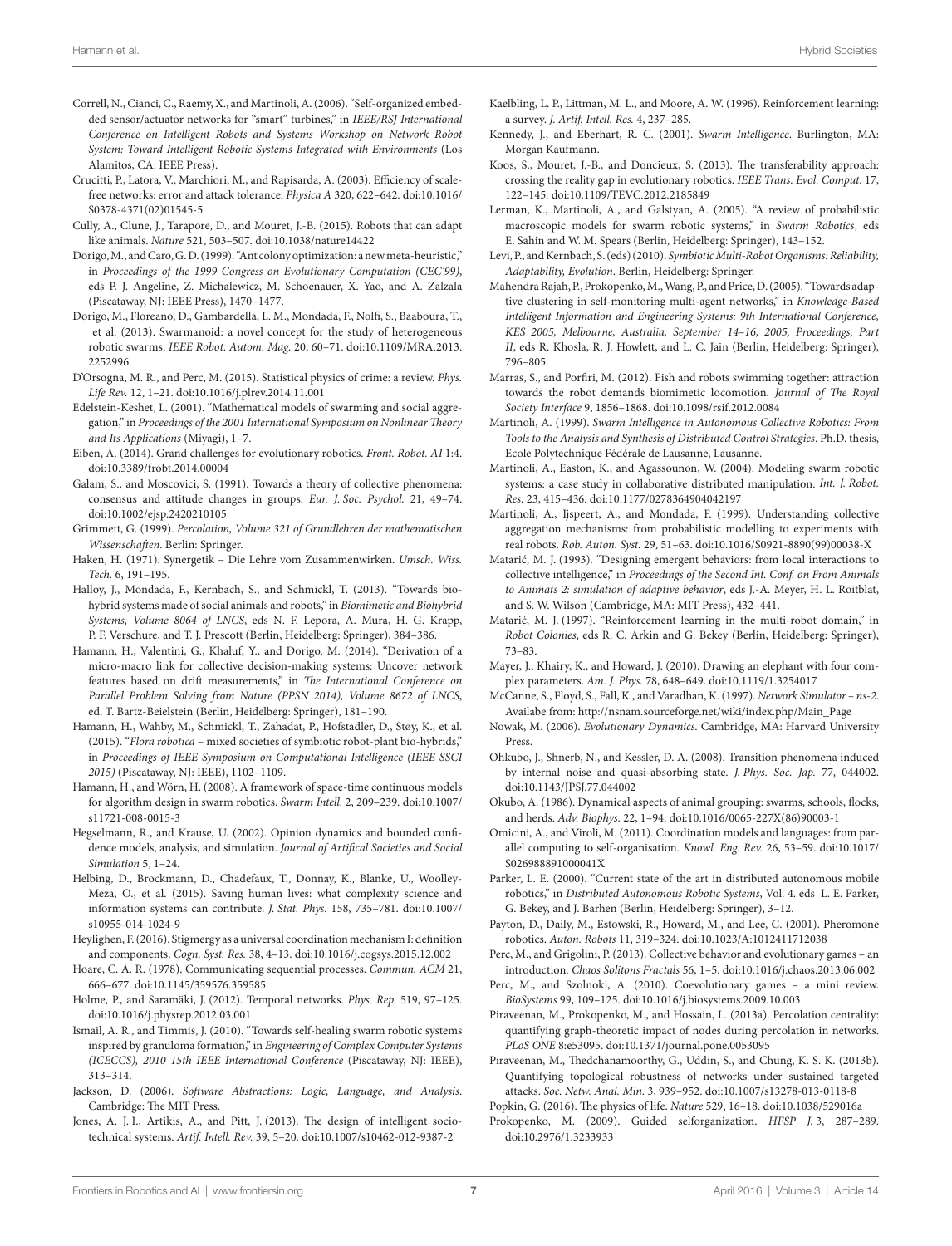- <span id="page-6-19"></span>Correll, N., Cianci, C., Raemy, X., and Martinoli, A. (2006). "Self-organized embedded sensor/actuator networks for "smart" turbines," in *IEEE/RSJ International Conference on Intelligent Robots and Systems Workshop on Network Robot System: Toward Intelligent Robotic Systems Integrated with Environments* (Los Alamitos, CA: IEEE Press).
- <span id="page-6-42"></span>Crucitti, P., Latora, V., Marchiori, M., and Rapisarda, A. (2003). Efficiency of scalefree networks: error and attack tolerance. *Physica A* 320, 622–642. doi[:10.1016/](http://dx.doi.org/10.1016/S0378-4371(02)01545-5) [S0378-4371\(02\)01545-5](http://dx.doi.org/10.1016/S0378-4371(02)01545-5)
- <span id="page-6-45"></span>Cully, A., Clune, J., Tarapore, D., and Mouret, J.-B. (2015). Robots that can adapt like animals. *Nature* 521, 503–507. doi[:10.1038/nature14422](http://dx.doi.org/10.1038/nature14422)
- <span id="page-6-17"></span>Dorigo, M., and Caro, G. D. (1999). "Ant colony optimization: a new meta-heuristic," in *Proceedings of the 1999 Congress on Evolutionary Computation (CEC'99)*, eds P. J. Angeline, Z. Michalewicz, M. Schoenauer, X. Yao, and A. Zalzala (Piscataway, NJ: IEEE Press), 1470–1477.
- <span id="page-6-3"></span>Dorigo, M., Floreano, D., Gambardella, L. M., Mondada, F., Nolfi, S., Baaboura, T., et al. (2013). Swarmanoid: a novel concept for the study of heterogeneous robotic swarms. *IEEE Robot. Autom. Mag.* 20, 60–71. doi[:10.1109/MRA.2013.](http://dx.doi.org/10.1109/MRA.2013.2252996) [2252996](http://dx.doi.org/10.1109/MRA.2013.2252996)
- <span id="page-6-8"></span>D'Orsogna, M. R., and Perc, M. (2015). Statistical physics of crime: a review. *Phys. Life Rev.* 12, 1–21. doi:[10.1016/j.plrev.2014.11.001](http://dx.doi.org/10.1016/j.plrev.2014.11.001)
- <span id="page-6-14"></span>Edelstein-Keshet, L. (2001). "Mathematical models of swarming and social aggregation," in *Proceedings of the 2001 International Symposium on Nonlinear Theory and Its Applications* (Miyagi), 1–7.
- <span id="page-6-0"></span>Eiben, A. (2014). Grand challenges for evolutionary robotics. *Front. Robot. AI* 1:4. doi:[10.3389/frobt.2014.00004](http://dx.doi.org/10.3389/frobt.2014.00004)
- <span id="page-6-22"></span>Galam, S., and Moscovici, S. (1991). Towards a theory of collective phenomena: consensus and attitude changes in groups. *Eur. J. Soc. Psychol.* 21, 49–74. doi:[10.1002/ejsp.2420210105](http://dx.doi.org/10.1002/ejsp.2420210105)
- <span id="page-6-16"></span>Grimmett, G. (1999). *Percolation, Volume 321 of Grundlehren der mathematischen Wissenschaften*. Berlin: Springer.
- <span id="page-6-12"></span>Haken, H. (1971). Synergetik – Die Lehre vom Zusammenwirken. *Umsch. Wiss. Tech.* 6, 191–195.
- <span id="page-6-1"></span>Halloy, J., Mondada, F., Kernbach, S., and Schmickl, T. (2013). "Towards biohybrid systems made of social animals and robots," in *Biomimetic and Biohybrid Systems, Volume 8064 of LNCS*, eds N. F. Lepora, A. Mura, H. G. Krapp, P. F. Verschure, and T. J. Prescott (Berlin, Heidelberg: Springer), 384–386.
- <span id="page-6-7"></span>Hamann, H., Valentini, G., Khaluf, Y., and Dorigo, M. (2014). "Derivation of a micro-macro link for collective decision-making systems: Uncover network features based on drift measurements," in *The International Conference on Parallel Problem Solving from Nature (PPSN 2014), Volume 8672 of LNCS*, ed. T. Bartz-Beielstein (Berlin, Heidelberg: Springer), 181–190.
- <span id="page-6-2"></span>Hamann, H., Wahby, M., Schmickl, T., Zahadat, P., Hofstadler, D., Støy, K., et al. (2015). "*Flora robotica* – mixed societies of symbiotic robot-plant bio-hybrids," in *Proceedings of IEEE Symposium on Computational Intelligence (IEEE SSCI 2015)* (Piscataway, NJ: IEEE), 1102–1109.
- <span id="page-6-29"></span>Hamann, H., and Wörn, H. (2008). A framework of space-time continuous models for algorithm design in swarm robotics. *Swarm Intell.* 2, 209–239. doi[:10.1007/](http://dx.doi.org/10.1007/s11721-008-0015-3) [s11721-008-0015-3](http://dx.doi.org/10.1007/s11721-008-0015-3)
- <span id="page-6-23"></span>Hegselmann, R., and Krause, U. (2002). Opinion dynamics and bounded confidence models, analysis, and simulation. *Journal of Artifical Societies and Social Simulation* 5, 1–24.
- <span id="page-6-9"></span>Helbing, D., Brockmann, D., Chadefaux, T., Donnay, K., Blanke, U., Woolley-Meza, O., et al. (2015). Saving human lives: what complexity science and information systems can contribute. *J. Stat. Phys.* 158, 735–781. doi[:10.1007/](http://dx.doi.org/10.1007/s10955-014-1024-9) [s10955-014-1024-9](http://dx.doi.org/10.1007/s10955-014-1024-9)
- <span id="page-6-5"></span>Heylighen, F. (2016). Stigmergy as a universal coordination mechanism I: definition and components. *Cogn. Syst. Res.* 38, 4–13. doi:[10.1016/j.cogsys.2015.12.002](http://dx.doi.org/10.1016/j.cogsys.2015.12.002)
- <span id="page-6-30"></span>Hoare, C. A. R. (1978). Communicating sequential processes. *Commun. ACM* 21, 666–677. doi:[10.1145/359576.359585](http://dx.doi.org/10.1145/359576.359585)
- <span id="page-6-21"></span>Holme, P., and Saramäki, J. (2012). Temporal networks. *Phys. Rep.* 519, 97–125. doi:[10.1016/j.physrep.2012.03.001](http://dx.doi.org/10.1016/j.physrep.2012.03.001)
- <span id="page-6-46"></span>Ismail, A. R., and Timmis, J. (2010). "Towards self-healing swarm robotic systems inspired by granuloma formation," in *Engineering of Complex Computer Systems (ICECCS), 2010 15th IEEE International Conference* (Piscataway, NJ: IEEE), 313–314.
- <span id="page-6-31"></span>Jackson, D. (2006). *Software Abstractions: Logic, Language, and Analysis*. Cambridge: The MIT Press.
- <span id="page-6-10"></span>Jones, A. J. I., Artikis, A., and Pitt, J. (2013). The design of intelligent sociotechnical systems. *Artif. Intell. Rev.* 39, 5–20. doi[:10.1007/s10462-012-9387-2](http://dx.doi.org/10.1007/s10462-012-9387-2)
- <span id="page-6-35"></span>Kaelbling, L. P., Littman, M. L., and Moore, A. W. (1996). Reinforcement learning: a survey. *J. Artif. Intell. Res.* 4, 237–285.
- <span id="page-6-18"></span>Kennedy, J., and Eberhart, R. C. (2001). *Swarm Intelligence*. Burlington, MA: Morgan Kaufmann.
- <span id="page-6-44"></span>Koos, S., Mouret, J.-B., and Doncieux, S. (2013). The transferability approach: crossing the reality gap in evolutionary robotics. *IEEE Trans. Evol. Comput.* 17, 122–145. doi[:10.1109/TEVC.2012.2185849](http://dx.doi.org/10.1109/TEVC.2012.2185849)
- <span id="page-6-11"></span>Lerman, K., Martinoli, A., and Galstyan, A. (2005). "A review of probabilistic macroscopic models for swarm robotic systems," in *Swarm Robotics*, eds E. Sahin and W. M. Spears (Berlin, Heidelberg: Springer), 143–152.
- <span id="page-6-40"></span>Levi, P., and Kernbach, S. (eds) (2010). *Symbiotic Multi-Robot Organisms: Reliability, Adaptability, Evolution*. Berlin, Heidelberg: Springer.
- <span id="page-6-39"></span>Mahendra Rajah, P., Prokopenko, M., Wang, P., and Price, D. (2005). "Towards adaptive clustering in self-monitoring multi-agent networks," in *Knowledge-Based Intelligent Information and Engineering Systems: 9th International Conference, KES 2005, Melbourne, Australia, September 14–16, 2005, Proceedings, Part II*, eds R. Khosla, R. J. Howlett, and L. C. Jain (Berlin, Heidelberg: Springer), 796–805.
- <span id="page-6-47"></span>Marras, S., and Porfiri, M. (2012). Fish and robots swimming together: attraction towards the robot demands biomimetic locomotion. *Journal of The Royal Society Interface* 9, 1856–1868. doi[:10.1098/rsif.2012.0084](http://dx.doi.org/10.1098/rsif.2012.0084)
- <span id="page-6-37"></span>Martinoli, A. (1999). *Swarm Intelligence in Autonomous Collective Robotics: From Tools to the Analysis and Synthesis of Distributed Control Strategies*. Ph.D. thesis, Ecole Polytechnique Fédérale de Lausanne, Lausanne.
- <span id="page-6-15"></span>Martinoli, A., Easton, K., and Agassounon, W. (2004). Modeling swarm robotic systems: a case study in collaborative distributed manipulation. *Int. J. Robot. Res.* 23, 415–436. doi[:10.1177/0278364904042197](http://dx.doi.org/10.1177/0278364904042197)
- Martinoli, A., Ijspeert, A., and Mondada, F. (1999). Understanding collective aggregation mechanisms: from probabilistic modelling to experiments with real robots. *Rob. Auton. Syst.* 29, 51–63. doi:[10.1016/S0921-8890\(99\)00038-X](http://dx.doi.org/10.1016/S0921-8890(99)00038-X)
- <span id="page-6-41"></span>Matarić, M. J. (1993). "Designing emergent behaviors: from local interactions to collective intelligence," in *Proceedings of the Second Int. Conf. on From Animals to Animats 2: simulation of adaptive behavior*, eds J.-A. Meyer, H. L. Roitblat, and S. W. Wilson (Cambridge, MA: MIT Press), 432–441.
- <span id="page-6-36"></span>Matarić, M. J. (1997). "Reinforcement learning in the multi-robot domain," in *Robot Colonies*, eds R. C. Arkin and G. Bekey (Berlin, Heidelberg: Springer), 73–83.
- <span id="page-6-33"></span>Mayer, J., Khairy, K., and Howard, J. (2010). Drawing an elephant with four complex parameters. *Am. J. Phys.* 78, 648–649. doi:[10.1119/1.3254017](http://dx.doi.org/10.1119/1.3254017)
- <span id="page-6-25"></span>McCanne, S., Floyd, S., Fall, K., and Varadhan, K. (1997). *Network Simulator – ns-2*. Availabe from: [http://nsnam.sourceforge.net/wiki/index.php/Main\\_Page](http://nsnam.sourceforge.net/wiki/index.php/Main_Page)
- <span id="page-6-34"></span>Nowak, M. (2006). *Evolutionary Dynamics*. Cambridge, MA: Harvard University Press.
- <span id="page-6-32"></span>Ohkubo, J., Shnerb, N., and Kessler, D. A. (2008). Transition phenomena induced by internal noise and quasi-absorbing state. *J. Phys. Soc. Jap.* 77, 044002. doi[:10.1143/JPSJ.77.044002](http://dx.doi.org/10.1143/JPSJ.77.044002)
- <span id="page-6-13"></span>Okubo, A. (1986). Dynamical aspects of animal grouping: swarms, schools, flocks, and herds. *Adv. Biophys.* 22, 1–94. doi[:10.1016/0065-227X\(86\)90003-1](http://dx.doi.org/10.1016/0065-227X(86)90003-1)
- <span id="page-6-4"></span>Omicini, A., and Viroli, M. (2011). Coordination models and languages: from parallel computing to self-organisation. *Knowl. Eng. Rev.* 26, 53–59. doi[:10.1017/](http://dx.doi.org/10.1017/S026988891000041X) [S026988891000041X](http://dx.doi.org/10.1017/S026988891000041X)
- <span id="page-6-24"></span>Parker, L. E. (2000). "Current state of the art in distributed autonomous mobile robotics," in *Distributed Autonomous Robotic Systems*, Vol. 4. eds L. E. Parker, G. Bekey, and J. Barhen (Berlin, Heidelberg: Springer), 3–12.
- <span id="page-6-20"></span>Payton, D., Daily, M., Estowski, R., Howard, M., and Lee, C. (2001). Pheromone robotics. *Auton. Robots* 11, 319–324. doi[:10.1023/A:1012411712038](http://dx.doi.org/10.1023/A:1012411712038)
- <span id="page-6-28"></span>Perc, M., and Grigolini, P. (2013). Collective behavior and evolutionary games – an introduction. *Chaos Solitons Fractals* 56, 1–5. doi[:10.1016/j.chaos.2013.06.002](http://dx.doi.org/10.1016/j.chaos.2013.06.002)
- <span id="page-6-26"></span>Perc, M., and Szolnoki, A. (2010). Coevolutionary games – a mini review. *BioSystems* 99, 109–125. doi[:10.1016/j.biosystems.2009.10.003](http://dx.doi.org/10.1016/j.biosystems.2009.10.003)
- <span id="page-6-27"></span>Piraveenan, M., Prokopenko, M., and Hossain, L. (2013a). Percolation centrality: quantifying graph-theoretic impact of nodes during percolation in networks. *PLoS ONE* 8:e53095. doi:[10.1371/journal.pone.0053095](http://dx.doi.org/10.1371/journal.pone.0053095)
- <span id="page-6-43"></span>Piraveenan, M., Thedchanamoorthy, G., Uddin, S., and Chung, K. S. K. (2013b). Quantifying topological robustness of networks under sustained targeted attacks. *Soc. Netw. Anal. Min.* 3, 939–952. doi:[10.1007/s13278-013-0118-8](http://dx.doi.org/10.1007/s13278-013-0118-8)
- <span id="page-6-38"></span><span id="page-6-6"></span>Popkin, G. (2016). The physics of life. *Nature* 529, 16–18. doi:[10.1038/529016a](http://dx.doi.org/10.1038/529016a) Prokopenko, M. (2009). Guided selforganization. *HFSP J.* 3, 287–289. doi[:10.2976/1.3233933](http://dx.doi.org/10.2976/1.3233933)